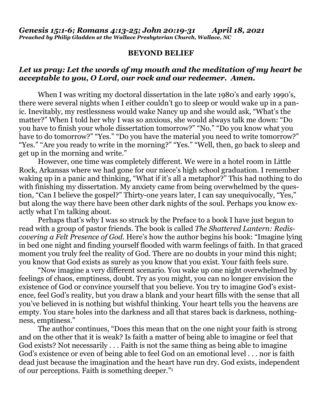## **BEYOND BELIEF**

## *Let us pray: Let the words of my mouth and the meditation of my heart be acceptable to you, O Lord, our rock and our redeemer. Amen.*

When I was writing my doctoral dissertation in the late 1980's and early 1990's, there were several nights when I either couldn't go to sleep or would wake up in a panic. Inevitably, my restlessness would wake Nancy up and she would ask, "What's the matter?" When I told her why I was so anxious, she would always talk me down: "Do you have to finish your whole dissertation tomorrow?" "No." "Do you know what you have to do tomorrow?" "Yes." "Do you have the material you need to write tomorrow?" "Yes." "Are you ready to write in the morning?" "Yes." "Well, then, go back to sleep and get up in the morning and write."

However, one time was completely different. We were in a hotel room in Little Rock, Arkansas where we had gone for our niece's high school graduation. I remember waking up in a panic and thinking, "What if it's all a metaphor?" This had nothing to do with finishing my dissertation. My anxiety came from being overwhelmed by the question, "Can I believe the gospel?" Thirty-one years later, I can say unequivocally, "Yes," but along the way there have been other dark nights of the soul. Perhaps you know exactly what I'm talking about.

Perhaps that's why I was so struck by the Preface to a book I have just begun to read with a group of pastor friends. The book is called *The Shattered Lantern: Rediscovering a Felt Presence of God*. Here's how the author begins his book: "Imagine lying in bed one night and finding yourself flooded with warm feelings of faith. In that graced moment you truly feel the reality of God. There are no doubts in your mind this night; you know that God exists as surely as you know that you exist. Your faith feels sure.

"Now imagine a very different scenario. You wake up one night overwhelmed by feelings of chaos, emptiness, doubt. Try as you might, you can no longer envision the existence of God or convince yourself that you believe. You try to imagine God's existence, feel God's reality, but you draw a blank and your heart fills with the sense that all you've believed in is nothing but wishful thinking. Your heart tells you the heavens are empty. You stare holes into the darkness and all that stares back is darkness, nothingness, emptiness."

The author continues, "Does this mean that on the one night your faith is strong and on the other that it is weak? Is faith a matter of being able to imagine or feel that God exists? Not necessarily . . . Faith is not the same thing as being able to imagine God's existence or even of being able to feel God on an emotional level . . . nor is faith dead just because the imagination and the heart have run dry. God exists, independent of our perceptions. Faith is something deeper."<sup>1</sup>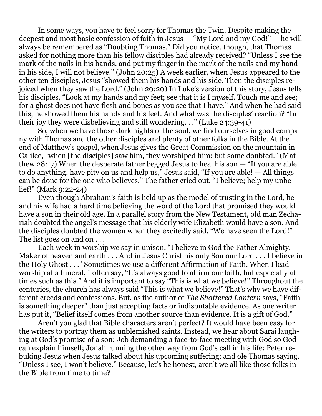In some ways, you have to feel sorry for Thomas the Twin. Despite making the deepest and most basic confession of faith in Jesus — "My Lord and my God!" — he will always be remembered as "Doubting Thomas." Did you notice, though, that Thomas asked for nothing more than his fellow disciples had already received? "Unless I see the mark of the nails in his hands, and put my finger in the mark of the nails and my hand in his side, I will not believe." (John 20:25) A week earlier, when Jesus appeared to the other ten disciples, Jesus "showed them his hands and his side. Then the disciples rejoiced when they saw the Lord." (John 20:20) In Luke's version of this story, Jesus tells his disciples, "Look at my hands and my feet; see that it is I myself. Touch me and see; for a ghost does not have flesh and bones as you see that I have." And when he had said this, he showed them his hands and his feet. And what was the disciples' reaction? "In their joy they were disbelieving and still wondering. . ." (Luke 24:39-41)

So, when we have those dark nights of the soul, we find ourselves in good company with Thomas and the other disciples and plenty of other folks in the Bible. At the end of Matthew's gospel, when Jesus gives the Great Commission on the mountain in Galilee, "when [the disciples] saw him, they worshiped him; but some doubted." (Matthew 28:17) When the desperate father begged Jesus to heal his son — "If you are able to do anything, have pity on us and help us," Jesus said, "If you are able! — All things can be done for the one who believes." The father cried out, "I believe; help my unbelief!" (Mark 9:22-24)

Even though Abraham's faith is held up as the model of trusting in the Lord, he and his wife had a hard time believing the word of the Lord that promised they would have a son in their old age. In a parallel story from the New Testament, old man Zechariah doubted the angel's message that his elderly wife Elizabeth would have a son. And the disciples doubted the women when they excitedly said, "We have seen the Lord!" The list goes on and on . . .

Each week in worship we say in unison, "I believe in God the Father Almighty, Maker of heaven and earth . . . And in Jesus Christ his only Son our Lord . . . I believe in the Holy Ghost . . ." Sometimes we use a different Affirmation of Faith. When I lead worship at a funeral, I often say, "It's always good to affirm our faith, but especially at times such as this." And it is important to say "This is what we believe!" Throughout the centuries, the church has always said "This is what we believe!" That's why we have different creeds and confessions. But, as the author of *The Shattered Lantern* says, "Faith is something deeper" than just accepting facts or indisputable evidence. As one writer has put it, "Belief itself comes from another source than evidence. It is a gift of God."

Aren't you glad that Bible characters aren't perfect? It would have been easy for the writers to portray them as unblemished saints. Instead, we hear about Sarai laughing at God's promise of a son; Job demanding a face-to-face meeting with God so God can explain himself; Jonah running the other way from God's call in his life; Peter rebuking Jesus when Jesus talked about his upcoming suffering; and ole Thomas saying, "Unless I see, I won't believe." Because, let's be honest, aren't we all like those folks in the Bible from time to time?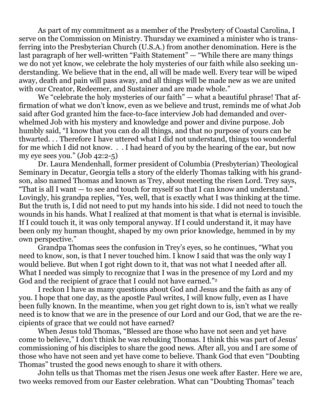As part of my commitment as a member of the Presbytery of Coastal Carolina, I serve on the Commission on Ministry. Thursday we examined a minister who is transferring into the Presbyterian Church (U.S.A.) from another denomination. Here is the last paragraph of her well-written "Faith Statement" — "While there are many things we do not yet know, we celebrate the holy mysteries of our faith while also seeking understanding. We believe that in the end, all will be made well. Every tear will be wiped away, death and pain will pass away, and all things will be made new as we are united with our Creator, Redeemer, and Sustainer and are made whole."

We "celebrate the holy mysteries of our faith" — what a beautiful phrase! That affirmation of what we don't know, even as we believe and trust, reminds me of what Job said after God granted him the face-to-face interview Job had demanded and overwhelmed Job with his mystery and knowledge and power and divine purpose. Job humbly said, "I know that you can do all things, and that no purpose of yours can be thwarted. . . Therefore I have uttered what I did not understand, things too wonderful for me which I did not know. . . I had heard of you by the hearing of the ear, but now my eye sees you." (Job 42:2-5)

Dr. Laura Mendenhall, former president of Columbia (Presbyterian) Theological Seminary in Decatur, Georgia tells a story of the elderly Thomas talking with his grandson, also named Thomas and known as Trey, about meeting the risen Lord. Trey says, "That is all I want — to see and touch for myself so that I can know and understand." Lovingly, his grandpa replies, "Yes, well, that is exactly what I was thinking at the time. But the truth is, I did not need to put my hands into his side. I did not need to touch the wounds in his hands. What I realized at that moment is that what is eternal is invisible. If I could touch it, it was only temporal anyway. If I could understand it, it may have been only my human thought, shaped by my own prior knowledge, hemmed in by my own perspective."

Grandpa Thomas sees the confusion in Trey's eyes, so he continues, "What you need to know, son, is that I never touched him. I know I said that was the only way I would believe. But when I got right down to it, that was not what I needed after all. What I needed was simply to recognize that I was in the presence of my Lord and my God and the recipient of grace that I could not have earned."<sup>2</sup>

I reckon I have as many questions about God and Jesus and the faith as any of you. I hope that one day, as the apostle Paul writes, I will know fully, even as I have been fully known. In the meantime, when you get right down to is, isn't what we really need is to know that we are in the presence of our Lord and our God, that we are the recipients of grace that we could not have earned?

When Jesus told Thomas, "Blessed are those who have not seen and yet have come to believe," I don't think he was rebuking Thomas. I think this was part of Jesus' commissioning of his disciples to share the good news. After all, you and I are some of those who have not seen and yet have come to believe. Thank God that even "Doubting Thomas" trusted the good news enough to share it with others.

John tells us that Thomas met the risen Jesus one week after Easter. Here we are, two weeks removed from our Easter celebration. What can "Doubting Thomas" teach